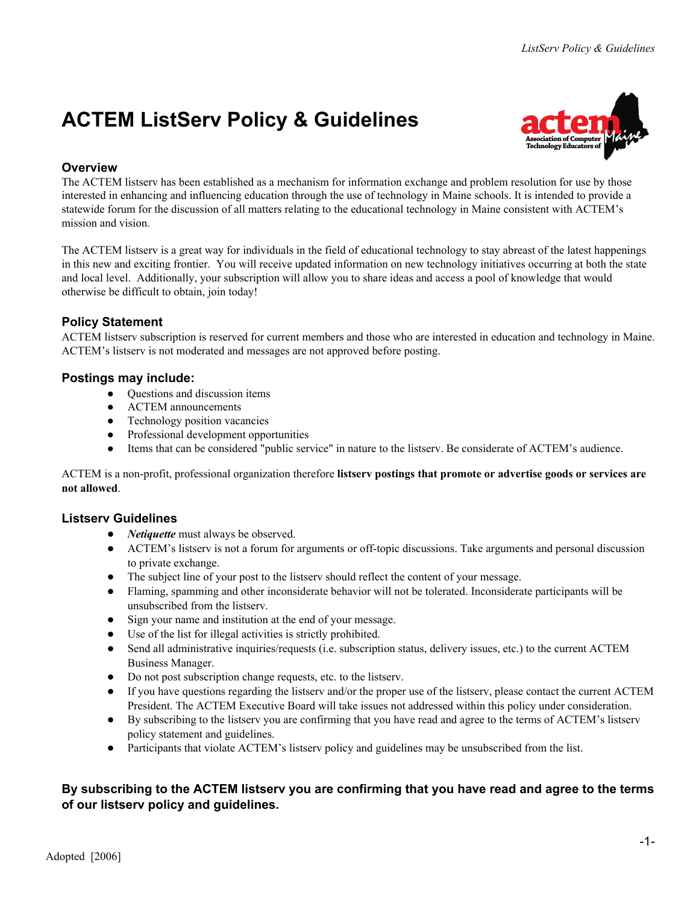# **ACTEM ListServ Policy & Guidelines**



# **Overview**

The ACTEM listserv has been established as a mechanism for information exchange and problem resolution for use by those interested in enhancing and influencing education through the use of technology in Maine schools. It is intended to provide a statewide forum for the discussion of all matters relating to the educational technology in Maine consistent with ACTEM's mission and vision.

The ACTEM listserv is a great way for individuals in the field of educational technology to stay abreast of the latest happenings in this new and exciting frontier. You will receive updated information on new technology initiatives occurring at both the state and local level. Additionally, your subscription will allow you to share ideas and access a pool of knowledge that would otherwise be difficult to obtain, join today!

## **Policy Statement**

ACTEM listserv subscription is reserved for current members and those who are interested in education and technology in Maine. ACTEM's listserv is not moderated and messages are not approved before posting.

#### **Postings may include:**

- Questions and discussion items
- ACTEM announcements
- Technology position vacancies
- Professional development opportunities
- Items that can be considered "public service" in nature to the listserv. Be considerate of ACTEM's audience.

ACTEM is a non-profit, professional organization therefore **listserv postings that promote or advertise goods or services are not allowed**.

#### **Listserv Guidelines**

- *Netiquette* must always be observed.
- ACTEM's listserv is not a forum for arguments or off-topic discussions. Take arguments and personal discussion to private exchange.
- The subject line of your post to the listserv should reflect the content of your message.
- Flaming, spamming and other inconsiderate behavior will not be tolerated. Inconsiderate participants will be unsubscribed from the listserv.
- Sign your name and institution at the end of your message.
- Use of the list for illegal activities is strictly prohibited.
- Send all administrative inquiries/requests (i.e. subscription status, delivery issues, etc.) to the current ACTEM Business Manager.
- Do not post subscription change requests, etc. to the listserv.
- If you have questions regarding the listserv and/or the proper use of the listserv, please contact the current ACTEM President. The ACTEM Executive Board will take issues not addressed within this policy under consideration.
- By subscribing to the listserv you are confirming that you have read and agree to the terms of ACTEM's listserv policy statement and guidelines.
- Participants that violate ACTEM's listserv policy and guidelines may be unsubscribed from the list.

# **By subscribing to the ACTEM listserv you are confirming that you have read and agree to the terms of our listserv policy and guidelines.**